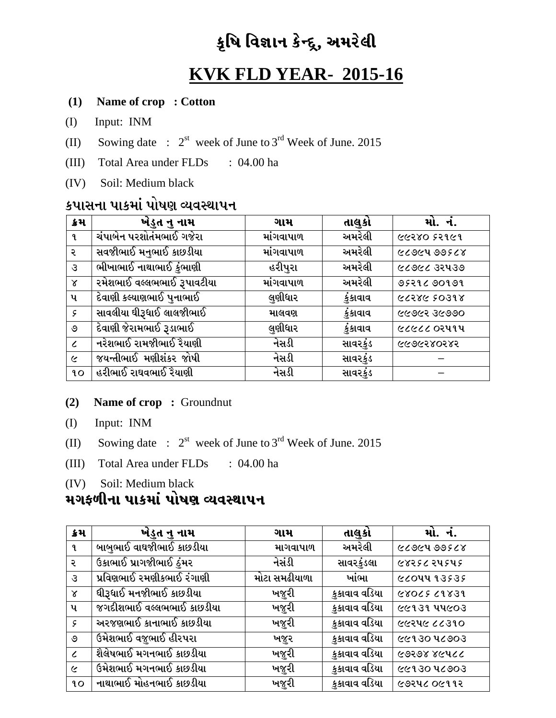# કૃષિ વિજ્ઞાન કેન્દ્ર, અમરેલી

# **KVK FLD YEAR- 2015-16**

### **(1) Name of crop : Cotton**

- (I) Input: INM
- (II) Sowing date :  $2^{st}$  week of June to  $3^{rd}$  Week of June. 2015
- (III) Total Area under FLDs : 04.00 ha
- (IV) Soil: Medium black

## કપાસના પાકમાં પોષણ વ્યવસ્થાપન

| ક્રેમ         | ખેડુત નુ નામ               | ગામ       | તાલુકો   | મો. નં.            |
|---------------|----------------------------|-----------|----------|--------------------|
| ٩.            | ચંપાબેન પરશોતંમભાઈ ગજેરા   | માંગવાપાળ | અમરેલી   | 66580 25161        |
| २             | સવજીભાઈ મનુભાઈ કાછડીયા     | માંગવાપાળ | અમરેલી   | 6606400568         |
| З             | ભીખાભાઈ નાથાભાઈ કુંભાણી    | હરીપુરા   | અમરેલી   | 66668 35439        |
| $\alpha$      | રમેશભાઈ વલ્લભભાઈ રૂપાવટીયા | માંગવાપાળ | અમરેલી   | 9529290999         |
| પ             | દેવાણી કલ્યાણભાઈ પુનાભાઈ   | લુણીધાર   | કુંકાવાવ | 86605388           |
| $\mathcal{S}$ | સાવલીયા ઘીરૂધાઈ લાલજીભાઈ   | માલવણ     | કુંકાવાવ | <b>GGOSS 25055</b> |
| ৩             | દેવાણી જેરામભાઈ રૂડાભાઈ    | લુણીધાર   | કુંકાવાવ | ૯૮૯૮૮ ૦૨૫૧૫        |
| $\epsilon$    | નરેશભાઈ રામજીભાઈ રૈયાણી    | નેસડી     | સાવરકુંડ | ६६९६२४०२४२         |
| $\epsilon$    | જયન્તીભાઈ મણીશંકર જોષી     | નેસડી     | સાવરકુંડ |                    |
| 90            | હરીભાઈ રાઘવભાઈ રૈયાણી      | નેસડી     | સાવરકુંડ |                    |

#### **(2) Name of crop :** Groundnut

- (I) Input: INM
- (II) Sowing date :  $2^{st}$  week of June to  $3^{rd}$  Week of June. 2015
- (III) Total Area under FLDs : 04.00 ha

(IV) Soil: Medium black

### મગફળીના પાકમાં પોષણ વ્યવસ્થાપન

| ક્રેમ         | ખેડુત નુ નામ              | ગામ           | તાલુકો        | મો. નં.     |
|---------------|---------------------------|---------------|---------------|-------------|
| ૧             | બાબુભાઈ વાઘજીભાઈ કાછડીયા  | માગવાપાળ      | અમરેલી        | 6606400568  |
| २             | ઉકાભાઈ પ્રાગજીભાઈ ઠુંમર   | નેસંડી        | સાવરકુંડલા    | ૯४२५८ २५५५५ |
| З             | પ્રવિણભાઈ રમણીકભાઈ રંગાણી | મોટા સમઢીયાળા | ખાંભા         | ૯૮૦૫૫ ૧૩૬૩૬ |
| $\chi$        | ધીરૂધાઈ મનજીભાઈ કાછડીયા   | ખજૂરી         | કુકાવાવ વડિયા | 6806569831  |
| પ             | જગદીશભાઈ વલ્લભભાઈ કાછડીયા | ખજૂરી         | કુકાવાવ વડિયા | ૯૯૧૩૧ ૫૫૯૦૩ |
| $\mathcal{S}$ | અરજણભાઈ કાનાભાઈ કાછડીયા   | ખજૂરી         | કુકાવાવ વડિયા | ૯૯૨૫૯ ૮૮૩૧૦ |
| ৩             | ઉમેશભાઈ વજુભાઈ હીરપરા     | ખજૂર          | કુકાવાવ વડિયા | ૯૯૧૩૦ ૫૮૭૦૩ |
| $\epsilon$    | શૈલેષભાઈ મગનભાઈ કાછડીયા   | ખજૂરી         | કુકાવાવ વડિયા | ८९२९४ ४૯५८८ |
| $\epsilon$    | ઉમેશભાઈ મગનભાઈ કાછડીયા    | ખજૂરી         | કુકાવાવ વડિયા | ૯૯૧૩૦ ૫૮૭૦૩ |
| $90^{\circ}$  | નાથાભાઈ મોહનભાઈ કાછડીયા   | ખજૂરી         | કુકાવાવ વડિયા | ૯૭૨૫૮ ૦૯૧૧૨ |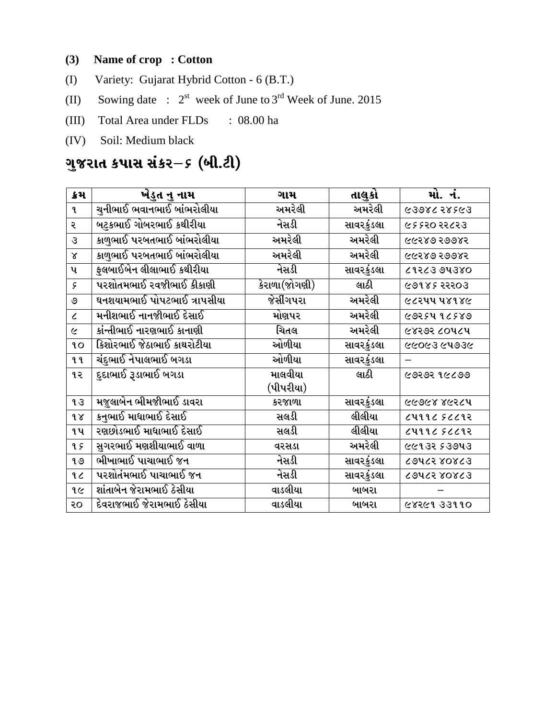### **(3) Name of crop : Cotton**

- (I) Variety: Gujarat Hybrid Cotton 6 (B.T.)
- (II) Sowing date :  $2^{st}$  week of June to  $3^{rd}$  Week of June. 2015
- (III) Total Area under FLDs : 08.00 ha
- (IV) Soil: Medium black

# ગુજરાત કપાસ સંકર–*૬ (*બી.ટી)

| ક્રમ                 | ખેડુત નુ નામ                | ગામ                                        | તાલુકો     | મો. નં.            |
|----------------------|-----------------------------|--------------------------------------------|------------|--------------------|
| $\mathbf{q}$         | ચનીભાઈ ભવાનભાઈ બાંભરોલીયા   | અમરેલી                                     | અમરેલી     | 6398628563         |
| ૨                    | બટુકભાઈ ગોબરભાઈ કથીરીયા     | નેસડી                                      | સાવરકુંડલા | ૯ ૬ ૬૨૦ ૨૨૮૨૩      |
| $\mathcal{S}$        | કાળુભાઈ પરબતભાઈ બાંભરોલીયા  | અમરેલી                                     | અમરેલી     | ५५२४७ २७७४२        |
| $\mathsf{X}$         | કાળુભાઈ પરબતભાઈ બાંભરોલીયા  | અમરેલી                                     | અમરેલી     | ५५२४७ २७७४२        |
| પ                    | ફુલબાઈબેન લીલાભાઈ કથીરીયા   | નેસડી                                      | સાવરકુંડલા | 91563 04380        |
| ç                    | પરશોતમભાઈ રવજીભાઈ કીકાણી    | $\overline{\hat{s}}$ રાળા $(\hat{s}$ ોગણી) | લાઠી       | <b>GOIRS 25503</b> |
| ৩                    | ઘનશયામભાઈ પોપટભાઈ ત્રાપસીયા | જેસીંગપરા                                  | અમરેલી     | ૯૮૨૫૫ ૫૪૧૪૯        |
| $\epsilon$           | મનીશભાઈ નાનજીભાઈ દેસાઈ      | મોણપર                                      | અમરેલી     | 68334 96889        |
| $\tilde{\mathbf{c}}$ | કાંન્તીભાઈ નારણભાઈ કાનાણી   | ચિતલ                                       | અમરેલી     | ૯૪૨૭૨ ૮૦૫૮૫        |
| 90                   | કિશોરભાઈ જેઠાભાઈ કાથરોટીયા  | ઓળીયા                                      | સાવરકુંડલા | ૯૯૦૯૩ ૯૫૭૩૯        |
| ۹ ૧                  | ચંદુભાઈ નેપાલભાઈ બગડા       | ઓળીયા                                      | સાવરકુંડલા |                    |
| ૧૨                   | દુદાભાઈ રૂડાભાઈ બગડા        | માલવીયા                                    | લાઠી       | <b>GOSDS 86509</b> |
|                      |                             | (પીપરીયા)                                  |            |                    |
| 93                   | મજુલાબેન ભીમજીભાઈ ડાવરા     | કરજાળા                                     | સાવરકુંડલા | ५८२४ ४७२८५         |
| 98                   | કનુભાઈ માધાભાઈ દેસાઈ        | સલડી                                       | લીલીયા     | ८५११८ ५८८१२        |
| ૧૫                   | રણછોડભાઈ માધાભાઈ દેસાઈ      | સલડી                                       | લીલીયા     | ८५११८ ५८८१२        |
| qç                   | સુગરભાઈ મણશીયાભાઈ વાળા      | વરસડા                                      | અમરેલી     | ૯૯૧૩૨ ૬૩૭૫૩        |
| 9.9                  | ભીખાભાઈ પાચાભાઈ જન          | નેસડી                                      | સાવરકુંડલા | couce rorca        |
| $\mathfrak{c}$       | પરશોતંમભાઈ પાચાભાઈ જન       | નેસડી                                      | સાવરકુંડલા | couce rorca        |
| 96                   | શાંતાબેન જેરામભાઈ ઠેસીયા    | વાડલીયા                                    | બાબરા      |                    |
| २०                   | દેવરાજભાઈ જેરામભાઈ ઠેસીયા   | વાડલીયા                                    | બાબરા      | 68561 33110        |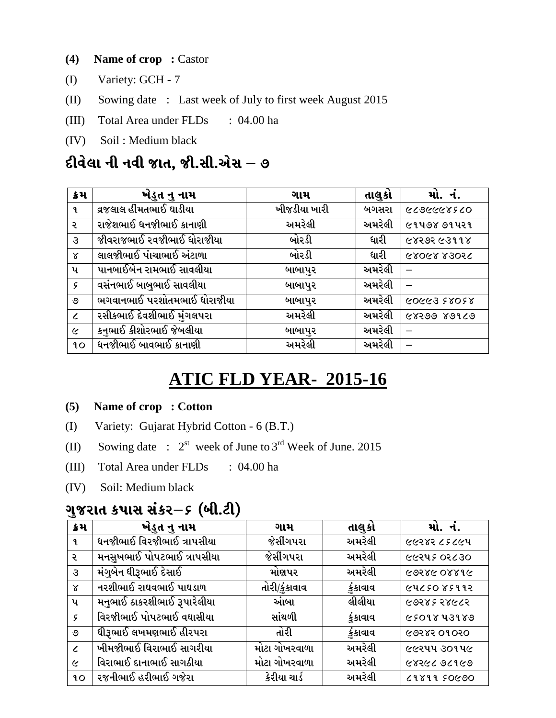- **(4) Name of crop :** Castor
- (I) Variety: GCH 7
- (II) Sowing date : Last week of July to first week August 2015
- (III) Total Area under FLDs : 04.00 ha
- (IV) Soil : Medium black

## દીવેલા ની નવી જાત, જી.સી.એસ **–** ૭

| ક્રેમ         | ખેડુત નુ નામ                | ગામ          | તાલુકો | મો. નં.     |
|---------------|-----------------------------|--------------|--------|-------------|
| ٩.            | વ્રજલાલ હીંમતભાઈ ઘાડીયા     | ખીજડીયા ખારી | બગસરા  | ०१२४४५४७८०  |
| ર             | રાજેશભાઈ ધનજીભાઈ કાનાણી     | અમરેલી       | અમરેલી | ૯૧૫૭૪ ૭૧૫૨૧ |
| $\mathcal{S}$ | જીવરાજભાઈ રવજીભાઈ ધોરાજીયા  | બોરડી        | ધારી   | ५४२७२ ५३११४ |
| $\alpha$      | લાલજીભાઈ પાંચાભાઈ અંટાળા    | બોરડી        | ધારી   | 95068 83056 |
| પ             | પાનબાઈબેન રામભાઈ સાવલીયા    | બાબાપુર      | અમરેલી |             |
| $\mathcal{G}$ | વસંનભાઈ બાબુભાઈ સાવલીયા     | બાબાપુર      | અમરેલી |             |
| ও             | ભગવાનભાઈ પરશોતમભાઈ ધોરાજીયા | બાબાપુર      | અમરેલી | 85085 82205 |
| $\epsilon$    | રસીકભાઈ દેવશીભાઈ મુંગલપરા   | અમરેલી       | અમરેલી | 62500 80150 |
| $\epsilon$    | કનભાઈ કીશોરભાઈ જેબલીયા      | બાબાપુર      | અમરેલી |             |
| 90            | ધનજીભાઈ બાવભાઈ કાનાણી       | અમરેલી       | અમરેલી |             |

## **ATIC FLD YEAR- 2015-16**

### **(5) Name of crop : Cotton**

- (I) Variety: Gujarat Hybrid Cotton 6 (B.T.)
- (II) Sowing date :  $2^{st}$  week of June to  $3^{rd}$  Week of June. 2015
- (III) Total Area under FLDs : 04.00 ha
- (IV) Soil: Medium black

## ગુજરાત કપાસ સંકર–*૬ (*બી.ટી)

| ક્રમ          | ખેડુત નુ નામ                | ગામ           | તાલુકો   | મો. નં.     |
|---------------|-----------------------------|---------------|----------|-------------|
| ٩.            | ધનજીભાઈ વિરજીભાઈ ત્રાપસીયા  | જેસીંગપરા     | અમરેલી   | ७७२४२ ८६८७५ |
| २             | મનસુખભાઈ પોપટભાઈ ત્રાપસીયા  | જેસીંગપરા     | અમરેલી   | ७७२५५ ०२८३० |
| $\mathcal{S}$ | મંગુબેન ધીરૂભાઈ દેસાઈ       | મોણપર         | અમરેલી   | 91880 98896 |
| $\chi$        | નરશીભાઈ રાઘવભાઈ પાઘડાળ      | તોરી/કુંકાવાવ | કુંકાવાવ | ૯૫૮۶૦ ૪૬૧૧૨ |
| પ             | મનુભાઈ ઠાકરશીભાઈ રૂપારેલીયા | આંબા          | લીલીયા   | ८०२४६ २४८८२ |
| $\mathcal{G}$ | વિરજીભાઈ પોપટભાઈ વઘાસીયા    | સાંથળી        | કુંકાવાવ | 6509843989  |
| ৩             | ધીરૂભાઈ લખમણભાઈ હીરપરા      | તોરી          | કુંકાવાવ | 6958501050  |
| $\epsilon$    | ખીમજીભાઈ વિરાભાઈ સાગરીયા    | મોટા ગોખરવાળા | અમરેલી   | ૯૯૨૫૫ ૩૦૧૫૯ |
| $\epsilon$    | વિરાભાઈ દાનાભાઈ સાગઠીયા     | મોટા ગોખરવાળા | અમરેલી   | 62650 2282  |
| 90            | રજનીભાઈ હરીભાઈ ગજેરા        | કેરીયા ચાર્ડ  | અમરેલી   | 6620311     |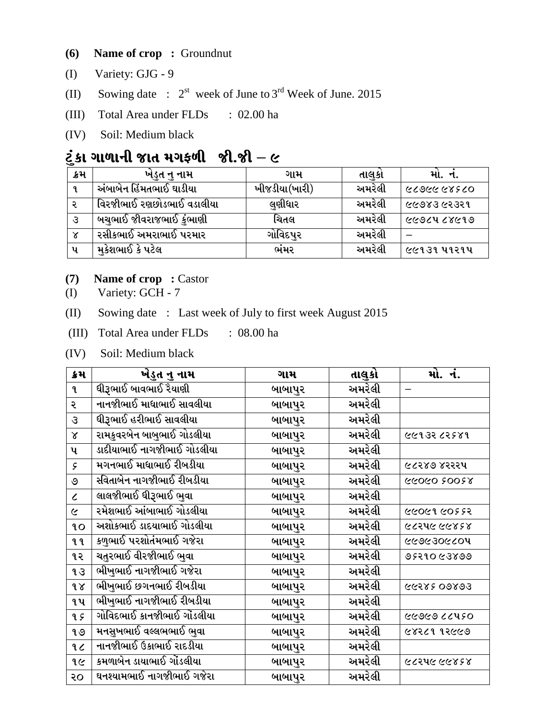- **(6) Name of crop :** Groundnut
- (I) Variety: GJG 9
- (II) Sowing date :  $2^{st}$  week of June to  $3^{rd}$  Week of June. 2015
- (III) Total Area under FLDs : 02.00 ha
- (IV) Soil: Medium black

## $\ddot{\mathcal{L}}$ કા ગાળાની જાત મગફળી જી.જી – ૯

| ક્રમ         | ખંડુત નુ નામ                    | ગામ           | તાલુકા | મા. ન.         |
|--------------|---------------------------------|---------------|--------|----------------|
| 9.           | અંબાબેન હિંમતભાઈ ઘાડીયા         | ખીજડીયા(ખારી) | અમરેલી | 07588 68675    |
|              | વિરજીભાઈ રણછોડભાઈ વડાલીયા       | લુણીધાર       | અમરેલી | ଟବେଥି ବେସେ ।   |
| उ            | <u>બચુભાઈ જીવરાજભાઈ કુંભાણી</u> | ચિતલ          | અમરેલી | ल्ल्छत्र ८४५१७ |
| $\mathsf{x}$ | રસીકભાઈ અમરાભાઈ પરમાર           | ગોવિદપુર      | અમરેલી |                |
| પ            | મુકેશભાઈ કે પટેલ                | ભંમર          | અમરેલી | ૯૯૧૩૧ ૫૧૨૧૫    |

- **(7) Name of crop :** Castor
- (I) Variety: GCH 7
- (II) Sowing date : Last week of July to first week August 2015
- (III) Total Area under FLDs : 08.00 ha
- (IV) Soil: Medium black

| ક્રમ                     | ખેડુત નુ નામ               | ગામ     | તાલુકો | મો. નં.     |
|--------------------------|----------------------------|---------|--------|-------------|
| $\mathbf{q}$             |                            | બાબાપુર | અમરેલી | —           |
| २                        | નાનજીભાઈ માધાભાઈ સાવલીયા   | બાબાપુર | અમરેલી |             |
| З                        | ધીરૂભાઈ હરીભાઈ સાવલીયા     | બાબાપુર | અમરેલી |             |
| $\alpha$                 | રામકુવરબેન બાબુભાઈ ગોડલીયા | બાબાપુર | અમરેલી | 661356581   |
| પ                        | ડાદીયાભાઈ નાગજીભાઈ ગોડલીયા | બાબાપુર | અમરેલી |             |
| ç                        | મગનભાઈ માધાભાઈ રીબડીયા     | બાબાપુર | અમરેલી | ૯૮૨૪૭ ૪૨૨૨૫ |
| ৩                        | સ્વિતાબેન નાગજીભાઈ રીબડીયા | બાબાપુર | અમરેલી | ४२००२ ०२०२४ |
| $\overline{\mathcal{L}}$ | લાલજીભાઈ ધીરૂભાઈ ભુવા      | બાબાપુર | અમરેલી |             |
| $\tilde{\mathcal{L}}$    | રમેશભાઈ આંબાભાઈ ગોડલીયા    | બાબાપુર | અમરેલી | 5330995999  |
| 9O                       | અશોકભાઈ ડાદયાભાઈ ગોડલીયા   | બાબાપુર | અમરેલી | ६८२५૯ ૯૯४६४ |
| <b>99</b>                | કળુભાઈ પરશોતંમભાઈ ગજેરા    | બાબાપુર | અમરેલી | 6696306504  |
| ૧૨                       | ચતુરભાઈ વીરજીભાઈ ભુવા      | બાબાપુર | અમરેલી | 95210 63899 |
| 93                       | ભીખુભાઈ નાગજીભાઈ ગજેરા     | બાબાપુર | અમરેલી |             |
| $\delta$                 | ભીખુભાઈ છગનભાઈ રીબડીયા     | બાબાપુર | અમરેલી | 66582 09893 |
| ૧૫                       | ભીખુભાઈ નાગજીભાઈ રીબડીયા   | બાબાપુર | અમરેલી |             |
| qç                       | ગોવિદભાઈ કાનજીભાઈ ગોંડલીયા | બાબાપુર | અમરેલી | ०२५३४९७७    |
| १७                       | મનસુખભાઈ વલ્લભભાઈ ભુવા     | બાબાપુર | અમરેલી | ७४२८१ १२८७७ |
| 20                       | નાનજીભાઈ ઉકાભાઈ રાદડીયા    | બાબાપુર | અમરેલી |             |
| १ $\epsilon$             | કમળાબેન ડાયાભાઈ ગોંડલીયા   | બાબાપુર | અમરેલી | ६८२५૯ ૯૯४६४ |
| 50                       | ઘનશ્યામભાઈ નાગજીભાઈ ગજેરા  | બાબાપુર | અમરેલી |             |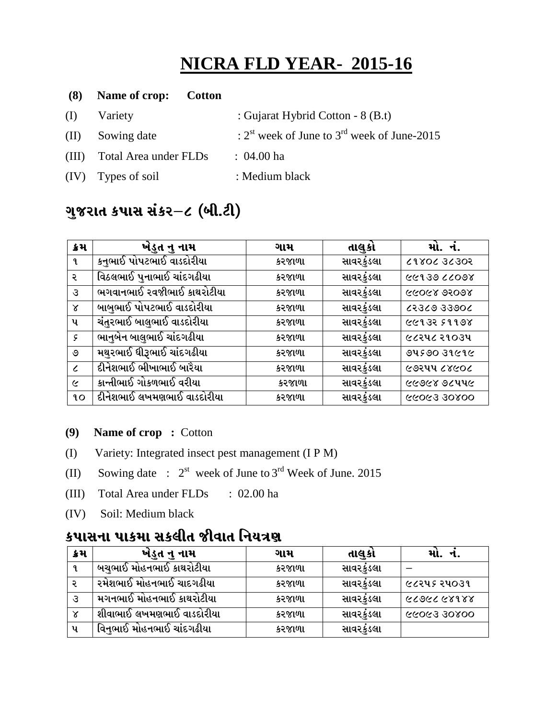# **NICRA FLD YEAR- 2015-16**

| (8) | Name of crop:<br><b>Cotton</b> |                                                                     |
|-----|--------------------------------|---------------------------------------------------------------------|
| (I) | Variety                        | : Gujarat Hybrid Cotton - 8 (B.t)                                   |
|     | (II) Sowing date               | : $2^{\text{st}}$ week of June to $3^{\text{rd}}$ week of June-2015 |
|     | (III) Total Area under FLDs    | $: 04.00$ ha                                                        |
|     | (IV) Types of soil             | : Medium black                                                      |

## ગુજરાત કપાસ સંકર–૮ (બી.ટી)

| ક્રેમ         | ખેડુત નુ નામ               | ગામ    | તાલુકો     | મો. નં.     |
|---------------|----------------------------|--------|------------|-------------|
| ٩.            | કનુભાઈ પોપટભાઈ વાડદોરીયા   | કરજાળા | સાવરકુંડલા | 80855 20805 |
| ર             | વિઠલભાઈ પુનાભાઈ ચાંદગઢીયા  | કરજાળા | સાવરકુંડલા | 86022066132 |
| З             | ભગવાનભાઈ રવજીભાઈ કાથરોટીયા | કરજાળા | સાવરકુંડલા | ८८०८४ ९२०९४ |
| γ             | બાબુભાઈ પોપટભાઈ વાડદોરીયા  | કરજાળા | સાવરકુંડલા | 2005502330  |
| પ             | ચંતુરભાઈ બાલુભાઈ વાડદોરીયા | કરજાળા | સાવરકુંડલા | ८८१३२ ५११७४ |
| $\mathcal{S}$ | ભાનુબેન બાલુભાઈ ચાંદગઢીયા  | કરજાળા | સાવરકુંડલા | ૯૮૨૫૮ ૨૧૦૩૫ |
| ও             | મથુરભાઈ ધીરૂભાઈ ચાંદગઢીયા  | કરજાળા | સાવરકુંડલા | 9459039696  |
| $\epsilon$    | દીનેશભાઈ ભીખાભાઈ બારૈયા    | કરજાળા | સાવરકુંડલા | ૯૭૨૫૫ ૮૪૯૦૮ |
| $\epsilon$    | કાન્તીભાઈ ગોકળભાઈ વરીયા    | કરજાળા | સાવરકુંડલા | ୧୯୭୯୪ ୭૮૫૫૯ |
| 90            | દીનેશભાઈ લખમણભાઈ વાડદોરીયા | કરજાળા | સાવરકુંડલા | 66063 30800 |

### **(9) Name of crop :** Cotton

- (I) Variety: Integrated insect pest management (I P M)
- (II) Sowing date :  $2^{st}$  week of June to  $3^{rd}$  Week of June. 2015
- (III) Total Area under FLDs : 02.00 ha
- (IV) Soil: Medium black

## કપાસના પાકમા સકલીત જીવાત નિયત્ર**ણ**

| ક્રમ         | ખેડૂત નુ નામ              | ગામ    | તાલકા      | મા.<br>ન.   |
|--------------|---------------------------|--------|------------|-------------|
|              | બચુભાઈ મોહનભાઈ કાથરોટીયા  | કરજાળા | સાવરકુંડલા |             |
|              | રમેશભાઈ મોહનભાઈ ચાદગઢીયા  | કરજાળા | સાવરકુંડલા | ૯૮૨૫૬ ૨૫૦૩૧ |
|              | મગનભાઈ મોહનભાઈ કાથરોટીયા  | કરજાળા | સાવરકુંડલા | ८८९८८ ५४१४४ |
| $\mathsf{x}$ | શીવાભાઈ લખમણભાઈ વાડદોરીયા | કરજાળા | સાવરકુંડલા | 00805 59099 |
| પ            | વિનભાઈ મોહનભાઈ ચાંદગઢીયા  | કરજાળા | સાવરકુંડલા |             |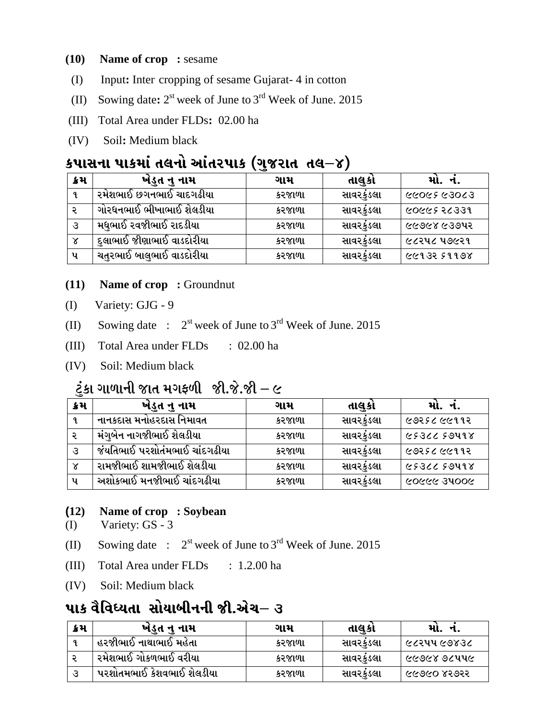#### **(10) Name of crop :** sesame

- (I) Input**:** Inter cropping of sesame Gujarat- 4 in cotton
- (II) Sowing date**:** 2 st week of June to 3 rd Week of June. 2015
- (III) Total Area under FLDs**:** 02.00 ha
- (IV) Soil**:** Medium black

## $\mathbf{S}$ **Jurication** in Eq. in the suite of the subsets of  $\mathbf{S}$

| ક્રેમ | ખેડુત નુ નામ               | ગામ    | તાલકા      | મા. ન.       |
|-------|----------------------------|--------|------------|--------------|
| 9.    | ૨મેશભાઈ છગનભાઈ ચાદગઢીયા    | કરજાળા | સાવરકુંડલા | ୧୪୦୧୬ ୧୬୦୬୬  |
|       | ગોરધનભાઈ ભીખાભાઈ શેલડીયા   | કરજાળા | સાવરકુંડલા | 6066536339   |
| उ     | મધુભાઈ રવજીભાઈ રાદડીયા     | કરજાળા | સાવરકુંડલા | લ્લ૭૯૪ લ૩૭૫૨ |
| γ     | .દુલાભાઈ જીણાભાઈ વાડદોરીયા | કરજાળા | સાવરકુંડલા | ૯૮૨૫૮ ૫૭૯૨૧  |
| પ     | ચતુરભાઈ બાલુભાઈ વાડદોરીયા  | કરજાળા | સાવરકુંડલા | 6613551198   |

#### **(11) Name of crop :** Groundnut

- (I) Variety: GJG 9
- (II) Sowing date :  $2^{st}$  week of June to  $3^{rd}$  Week of June. 2015
- (III) Total Area under FLDs : 02.00 ha
- (IV) Soil: Medium black

### ેટુંકા ગાળાની જાત મગફળી જી.જે.જી $-\epsilon$

| ક્રેમ        | ખેડુત નુ નામ                  | ગામ    | તાલકા      | મા. ન.       |
|--------------|-------------------------------|--------|------------|--------------|
|              | નાનકદાસ મનોહરદાસ નિમાવત       | કરજાળા | સાવરકુંડલા | ૯૭૨૬૮૯૯૧૧૨   |
|              | મંગુબેન નાગજીભાઈ શેલડીયા      | કરજાળા | સાવરકુંડલા | 6536659498   |
| उ            | જંયતિભાઈ પરશોતંમભાઈ ચાંદગઢીયા | કરજાળા | સાવરકુંડલા | ૯૭૨૬૮૯૯૧૧૨   |
| $\mathsf{x}$ | રામજીભાઈ શામજીભાઈ શેલડીયા     | કરજાળા | સાવરકંડલા  | 6536659498   |
| પ            | અશોકભાઈ મનજીભાઈ ચાંદગઢીયા     | કરજાળા | સાવરકુંડલા | ୨୦୦୯୧୯ ୨୬୨୦୬ |

### **(12) Name of crop : Soybean**

- (I) Variety: GS 3
- (II) Sowing date :  $2^{st}$  week of June to  $3^{rd}$  Week of June. 2015
- (III) Total Area under FLDs : 1.2.00 ha
- (IV) Soil: Medium black

## પાક વૈવિધ્યતા સોયાબીનની જી.એચ– ૩

| ક્રેમ | ખંડુત નુ નામ              | ગામ    | તાલકા     | મા.           |
|-------|---------------------------|--------|-----------|---------------|
|       | હરજીભાઈ નાથાભાઈ મહેતા     | કરજાળા | સાવરકુડલા | । ૯૮૨૫૫ ૯૭૪૩૮ |
|       | ્રમેશભાઈ ગોકળભાઈ વરીયા    | કરજાળા | સાવરકુડલા | ૯૯૭૯૪ ૭૮૫૫૯   |
|       | પરશોતમભાઈ કેશવભાઈ શેલડીયા | કરજાળા | સાવરકુડલા | ୧୧୦୧୦ ୪২୭২২   |